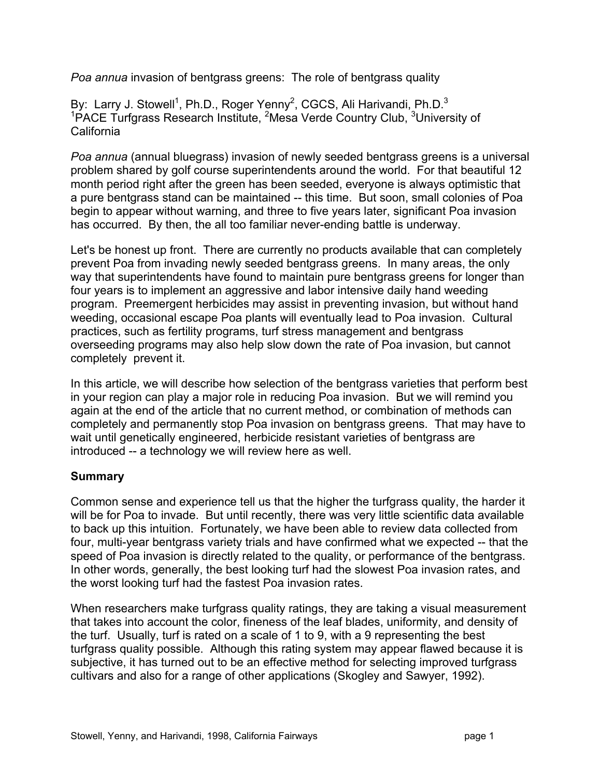*Poa annua* invasion of bentgrass greens: The role of bentgrass quality

By: Larry J. Stowell<sup>1</sup>, Ph.D., Roger Yenny<sup>2</sup>, CGCS, Ali Harivandi, Ph.D.<sup>3</sup> <sup>1</sup>PACE Turfgrass Research Institute, <sup>2</sup>Mesa Verde Country Club, <sup>3</sup>University of California

*Poa annua* (annual bluegrass) invasion of newly seeded bentgrass greens is a universal problem shared by golf course superintendents around the world. For that beautiful 12 month period right after the green has been seeded, everyone is always optimistic that a pure bentgrass stand can be maintained -- this time. But soon, small colonies of Poa begin to appear without warning, and three to five years later, significant Poa invasion has occurred. By then, the all too familiar never-ending battle is underway.

Let's be honest up front. There are currently no products available that can completely prevent Poa from invading newly seeded bentgrass greens. In many areas, the only way that superintendents have found to maintain pure bentgrass greens for longer than four years is to implement an aggressive and labor intensive daily hand weeding program. Preemergent herbicides may assist in preventing invasion, but without hand weeding, occasional escape Poa plants will eventually lead to Poa invasion. Cultural practices, such as fertility programs, turf stress management and bentgrass overseeding programs may also help slow down the rate of Poa invasion, but cannot completely prevent it.

In this article, we will describe how selection of the bentgrass varieties that perform best in your region can play a major role in reducing Poa invasion. But we will remind you again at the end of the article that no current method, or combination of methods can completely and permanently stop Poa invasion on bentgrass greens. That may have to wait until genetically engineered, herbicide resistant varieties of bentgrass are introduced -- a technology we will review here as well.

# **Summary**

Common sense and experience tell us that the higher the turfgrass quality, the harder it will be for Poa to invade. But until recently, there was very little scientific data available to back up this intuition. Fortunately, we have been able to review data collected from four, multi-year bentgrass variety trials and have confirmed what we expected -- that the speed of Poa invasion is directly related to the quality, or performance of the bentgrass. In other words, generally, the best looking turf had the slowest Poa invasion rates, and the worst looking turf had the fastest Poa invasion rates.

When researchers make turfgrass quality ratings, they are taking a visual measurement that takes into account the color, fineness of the leaf blades, uniformity, and density of the turf. Usually, turf is rated on a scale of 1 to 9, with a 9 representing the best turfgrass quality possible. Although this rating system may appear flawed because it is subjective, it has turned out to be an effective method for selecting improved turfgrass cultivars and also for a range of other applications (Skogley and Sawyer, 1992).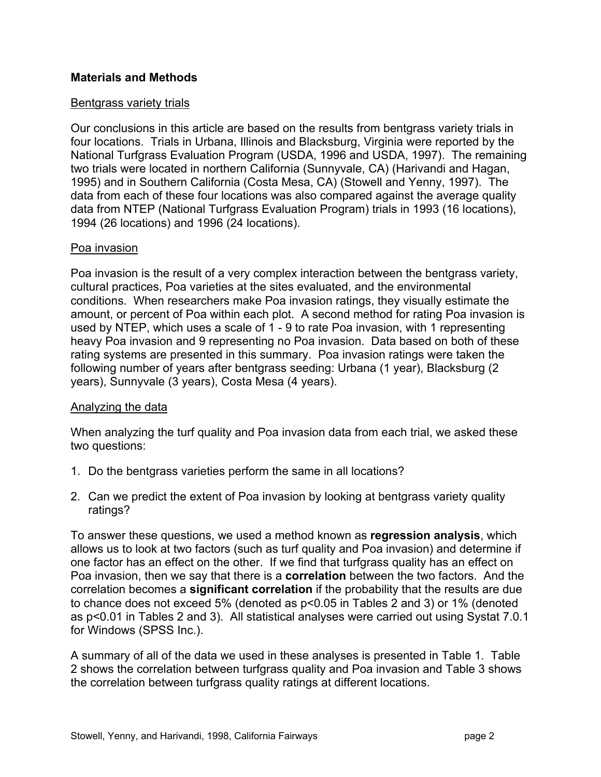# **Materials and Methods**

### Bentgrass variety trials

Our conclusions in this article are based on the results from bentgrass variety trials in four locations. Trials in Urbana, Illinois and Blacksburg, Virginia were reported by the National Turfgrass Evaluation Program (USDA, 1996 and USDA, 1997). The remaining two trials were located in northern California (Sunnyvale, CA) (Harivandi and Hagan, 1995) and in Southern California (Costa Mesa, CA) (Stowell and Yenny, 1997). The data from each of these four locations was also compared against the average quality data from NTEP (National Turfgrass Evaluation Program) trials in 1993 (16 locations), 1994 (26 locations) and 1996 (24 locations).

#### Poa invasion

Poa invasion is the result of a very complex interaction between the bentgrass variety, cultural practices, Poa varieties at the sites evaluated, and the environmental conditions. When researchers make Poa invasion ratings, they visually estimate the amount, or percent of Poa within each plot. A second method for rating Poa invasion is used by NTEP, which uses a scale of 1 - 9 to rate Poa invasion, with 1 representing heavy Poa invasion and 9 representing no Poa invasion. Data based on both of these rating systems are presented in this summary. Poa invasion ratings were taken the following number of years after bentgrass seeding: Urbana (1 year), Blacksburg (2 years), Sunnyvale (3 years), Costa Mesa (4 years).

# Analyzing the data

When analyzing the turf quality and Poa invasion data from each trial, we asked these two questions:

- 1. Do the bentgrass varieties perform the same in all locations?
- 2. Can we predict the extent of Poa invasion by looking at bentgrass variety quality ratings?

To answer these questions, we used a method known as **regression analysis**, which allows us to look at two factors (such as turf quality and Poa invasion) and determine if one factor has an effect on the other. If we find that turfgrass quality has an effect on Poa invasion, then we say that there is a **correlation** between the two factors. And the correlation becomes a **significant correlation** if the probability that the results are due to chance does not exceed 5% (denoted as p<0.05 in Tables 2 and 3) or 1% (denoted as p<0.01 in Tables 2 and 3). All statistical analyses were carried out using Systat 7.0.1 for Windows (SPSS Inc.).

A summary of all of the data we used in these analyses is presented in Table 1. Table 2 shows the correlation between turfgrass quality and Poa invasion and Table 3 shows the correlation between turfgrass quality ratings at different locations.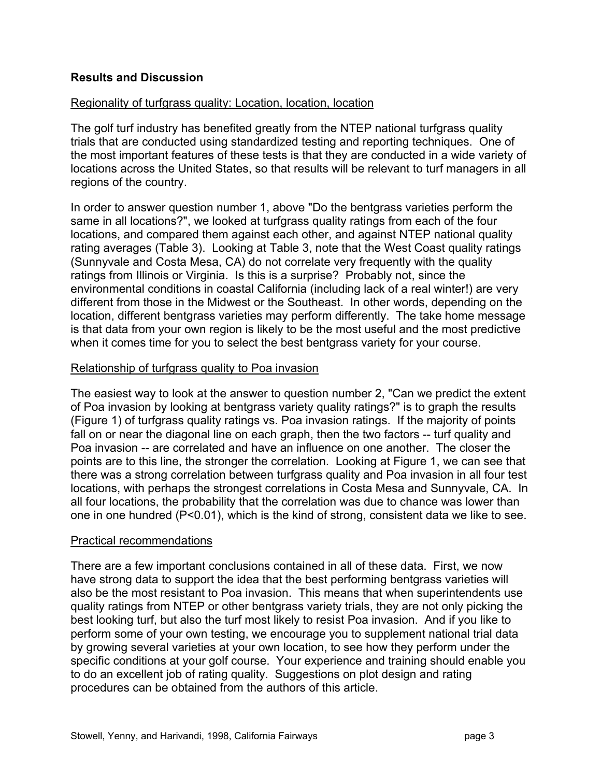# **Results and Discussion**

### Regionality of turfgrass quality: Location, location, location

The golf turf industry has benefited greatly from the NTEP national turfgrass quality trials that are conducted using standardized testing and reporting techniques. One of the most important features of these tests is that they are conducted in a wide variety of locations across the United States, so that results will be relevant to turf managers in all regions of the country.

In order to answer question number 1, above "Do the bentgrass varieties perform the same in all locations?", we looked at turfgrass quality ratings from each of the four locations, and compared them against each other, and against NTEP national quality rating averages (Table 3). Looking at Table 3, note that the West Coast quality ratings (Sunnyvale and Costa Mesa, CA) do not correlate very frequently with the quality ratings from Illinois or Virginia. Is this is a surprise? Probably not, since the environmental conditions in coastal California (including lack of a real winter!) are very different from those in the Midwest or the Southeast. In other words, depending on the location, different bentgrass varieties may perform differently. The take home message is that data from your own region is likely to be the most useful and the most predictive when it comes time for you to select the best bentgrass variety for your course.

#### Relationship of turfgrass quality to Poa invasion

The easiest way to look at the answer to question number 2, "Can we predict the extent of Poa invasion by looking at bentgrass variety quality ratings?" is to graph the results (Figure 1) of turfgrass quality ratings vs. Poa invasion ratings. If the majority of points fall on or near the diagonal line on each graph, then the two factors -- turf quality and Poa invasion -- are correlated and have an influence on one another. The closer the points are to this line, the stronger the correlation. Looking at Figure 1, we can see that there was a strong correlation between turfgrass quality and Poa invasion in all four test locations, with perhaps the strongest correlations in Costa Mesa and Sunnyvale, CA. In all four locations, the probability that the correlation was due to chance was lower than one in one hundred (P<0.01), which is the kind of strong, consistent data we like to see.

#### Practical recommendations

There are a few important conclusions contained in all of these data. First, we now have strong data to support the idea that the best performing bentgrass varieties will also be the most resistant to Poa invasion. This means that when superintendents use quality ratings from NTEP or other bentgrass variety trials, they are not only picking the best looking turf, but also the turf most likely to resist Poa invasion. And if you like to perform some of your own testing, we encourage you to supplement national trial data by growing several varieties at your own location, to see how they perform under the specific conditions at your golf course. Your experience and training should enable you to do an excellent job of rating quality. Suggestions on plot design and rating procedures can be obtained from the authors of this article.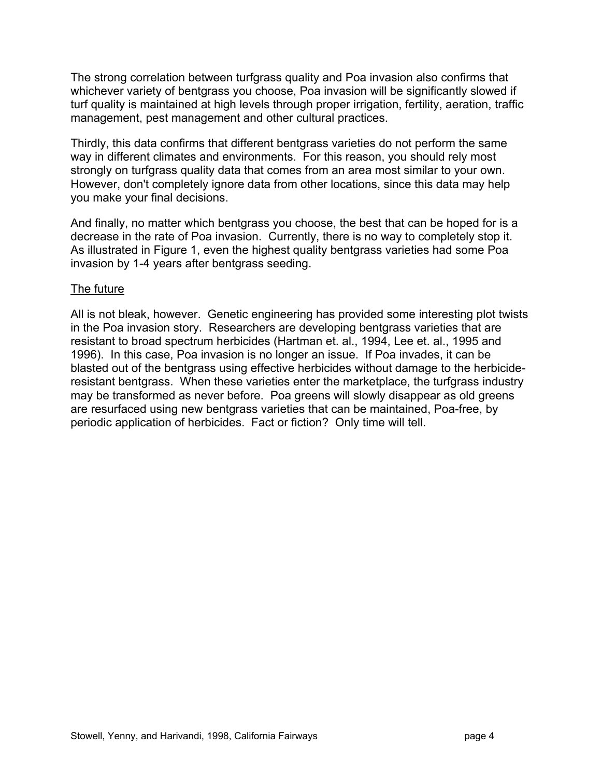The strong correlation between turfgrass quality and Poa invasion also confirms that whichever variety of bentgrass you choose, Poa invasion will be significantly slowed if turf quality is maintained at high levels through proper irrigation, fertility, aeration, traffic management, pest management and other cultural practices.

Thirdly, this data confirms that different bentgrass varieties do not perform the same way in different climates and environments. For this reason, you should rely most strongly on turfgrass quality data that comes from an area most similar to your own. However, don't completely ignore data from other locations, since this data may help you make your final decisions.

And finally, no matter which bentgrass you choose, the best that can be hoped for is a decrease in the rate of Poa invasion. Currently, there is no way to completely stop it. As illustrated in Figure 1, even the highest quality bentgrass varieties had some Poa invasion by 1-4 years after bentgrass seeding.

# The future

All is not bleak, however. Genetic engineering has provided some interesting plot twists in the Poa invasion story. Researchers are developing bentgrass varieties that are resistant to broad spectrum herbicides (Hartman et. al., 1994, Lee et. al., 1995 and 1996). In this case, Poa invasion is no longer an issue. If Poa invades, it can be blasted out of the bentgrass using effective herbicides without damage to the herbicideresistant bentgrass. When these varieties enter the marketplace, the turfgrass industry may be transformed as never before. Poa greens will slowly disappear as old greens are resurfaced using new bentgrass varieties that can be maintained, Poa-free, by periodic application of herbicides. Fact or fiction? Only time will tell.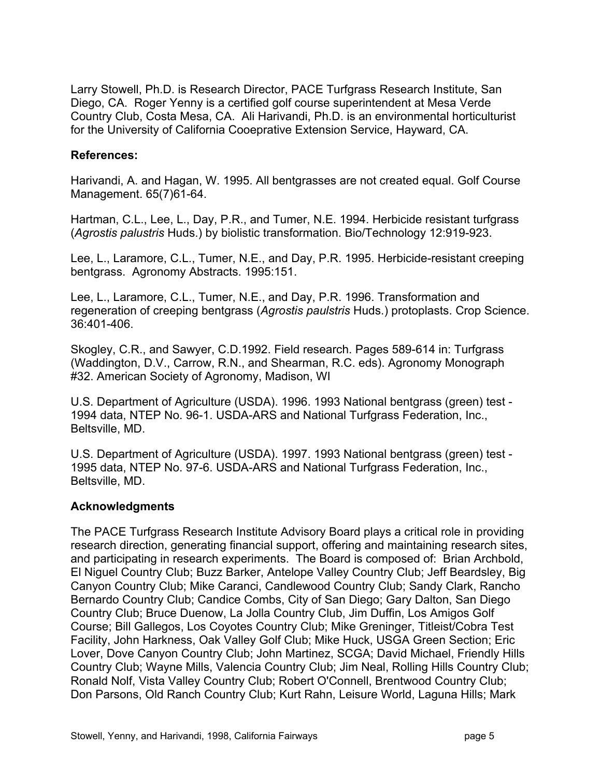Larry Stowell, Ph.D. is Research Director, PACE Turfgrass Research Institute, San Diego, CA. Roger Yenny is a certified golf course superintendent at Mesa Verde Country Club, Costa Mesa, CA. Ali Harivandi, Ph.D. is an environmental horticulturist for the University of California Cooeprative Extension Service, Hayward, CA.

# **References:**

Harivandi, A. and Hagan, W. 1995. All bentgrasses are not created equal. Golf Course Management. 65(7)61-64.

Hartman, C.L., Lee, L., Day, P.R., and Tumer, N.E. 1994. Herbicide resistant turfgrass (*Agrostis palustris* Huds.) by biolistic transformation. Bio/Technology 12:919-923.

Lee, L., Laramore, C.L., Tumer, N.E., and Day, P.R. 1995. Herbicide-resistant creeping bentgrass. Agronomy Abstracts. 1995:151.

Lee, L., Laramore, C.L., Tumer, N.E., and Day, P.R. 1996. Transformation and regeneration of creeping bentgrass (*Agrostis paulstris* Huds.) protoplasts. Crop Science. 36:401-406.

Skogley, C.R., and Sawyer, C.D.1992. Field research. Pages 589-614 in: Turfgrass (Waddington, D.V., Carrow, R.N., and Shearman, R.C. eds). Agronomy Monograph #32. American Society of Agronomy, Madison, WI

U.S. Department of Agriculture (USDA). 1996. 1993 National bentgrass (green) test - 1994 data, NTEP No. 96-1. USDA-ARS and National Turfgrass Federation, Inc., Beltsville, MD.

U.S. Department of Agriculture (USDA). 1997. 1993 National bentgrass (green) test - 1995 data, NTEP No. 97-6. USDA-ARS and National Turfgrass Federation, Inc., Beltsville, MD.

# **Acknowledgments**

The PACE Turfgrass Research Institute Advisory Board plays a critical role in providing research direction, generating financial support, offering and maintaining research sites, and participating in research experiments. The Board is composed of: Brian Archbold, El Niguel Country Club; Buzz Barker, Antelope Valley Country Club; Jeff Beardsley, Big Canyon Country Club; Mike Caranci, Candlewood Country Club; Sandy Clark, Rancho Bernardo Country Club; Candice Combs, City of San Diego; Gary Dalton, San Diego Country Club; Bruce Duenow, La Jolla Country Club, Jim Duffin, Los Amigos Golf Course; Bill Gallegos, Los Coyotes Country Club; Mike Greninger, Titleist/Cobra Test Facility, John Harkness, Oak Valley Golf Club; Mike Huck, USGA Green Section; Eric Lover, Dove Canyon Country Club; John Martinez, SCGA; David Michael, Friendly Hills Country Club; Wayne Mills, Valencia Country Club; Jim Neal, Rolling Hills Country Club; Ronald Nolf, Vista Valley Country Club; Robert O'Connell, Brentwood Country Club; Don Parsons, Old Ranch Country Club; Kurt Rahn, Leisure World, Laguna Hills; Mark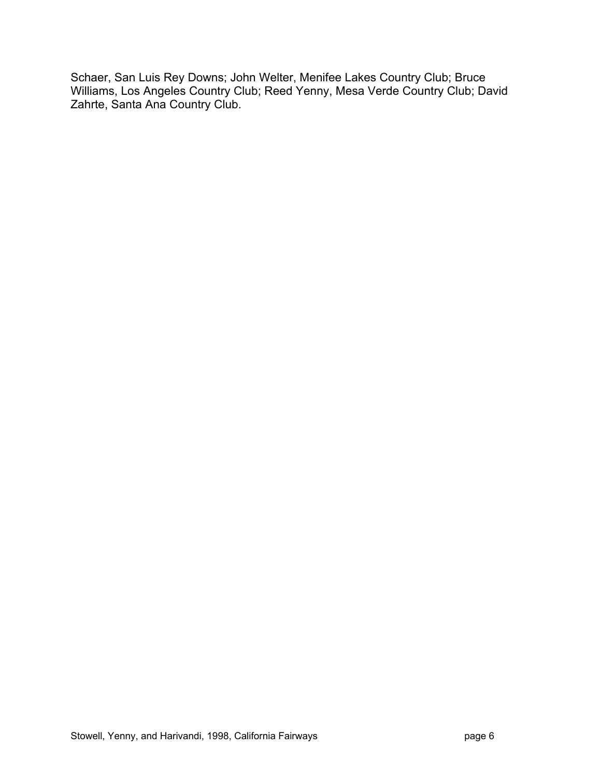Schaer, San Luis Rey Downs; John Welter, Menifee Lakes Country Club; Bruce Williams, Los Angeles Country Club; Reed Yenny, Mesa Verde Country Club; David Zahrte, Santa Ana Country Club.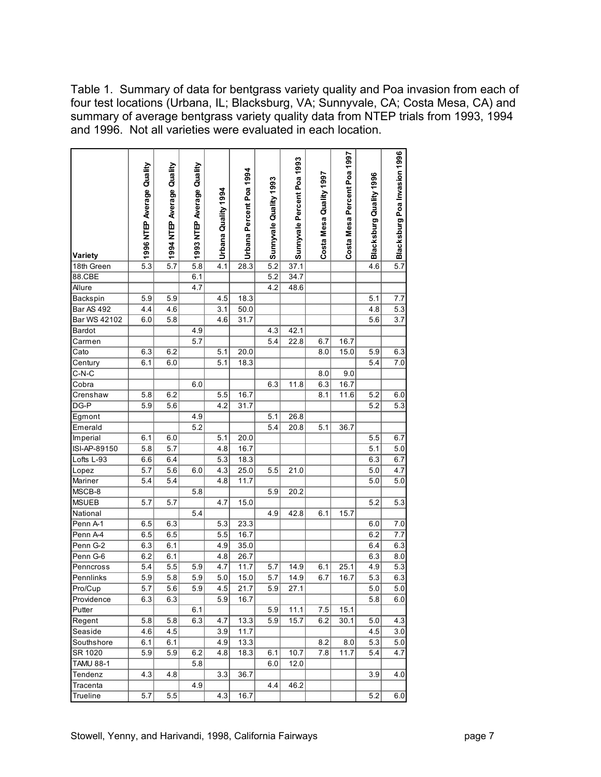Table 1. Summary of data for bentgrass variety quality and Poa invasion from each of four test locations (Urbana, IL; Blacksburg, VA; Sunnyvale, CA; Costa Mesa, CA) and summary of average bentgrass variety quality data from NTEP trials from 1993, 1994 and 1996. Not all varieties were evaluated in each location.

| Blacksburg Poa Invasion 1996<br>Costa Mesa Percent Poa 1997<br>Sunnyvale Percent Poa 1993<br>1996 NTEP Average Quality<br>1994 NTEP Average Quality<br>1993 NTEP Average Quality<br>Urbana Percent Poa 1994<br>Costa Mesa Quality 1997<br>Blacksburg Quality 1996<br>Sunnyvale Quality 1993<br>Urbana Quality 1994<br>Variety<br>$\overline{5.7}$<br>5.3<br>5.7<br>5.8<br>4.1<br>28.3<br>5.2<br>37.1<br>4.6<br>18th Green<br>88.CBE<br>34.7<br>6.1<br>5.2<br>4.7<br>4.2<br>48.6<br>Allure<br>5.9<br>5.9<br>4.5<br>18.3<br>5.1<br>7.7<br>Backspin<br><b>Bar AS 492</b><br>50.0<br>5.3<br>4.4<br>4.6<br>3.1<br>4.8<br>Bar WS 42102<br>31.7<br>3.7<br>6.0<br>5.8<br>4.6<br>5.6<br>42.1<br>Bardot<br>4.9<br>4.3<br>22.8<br>5.7<br>5.4<br>6.7<br>16.7<br>Carmen<br>6.3<br>6.2<br>5.1<br>20.0<br>8.0<br>15.0<br>5.9<br>6.3<br>Cato<br>18.3<br>5.4<br>Century<br>6.1<br>6.0<br>5.1<br>7.0<br>$C-N-C$<br>8.0<br>9.0<br>6.3<br>16.7<br>Cobra<br>11.8<br>6.0<br>6.3<br>16.7<br>5.8<br>6.2<br>5.5<br>8.1<br>11.6<br>5.2<br>6.0<br>Crenshaw<br>DG-P<br>5.9<br>4.2<br>31.7<br>5.2<br>5.6<br>5.3<br>4.9<br>5.1<br>26.8<br>Egmont<br>5.2<br>5.4<br>5.1<br>Emerald<br>20.8<br>36.7<br>Imperial<br>6.1<br>6.0<br>5.1<br>20.0<br>5.5<br>6.7<br>$\overline{5.7}$<br>16.7<br>ISI-AP-89150<br>5.8<br>4.8<br>5.1<br>5.0<br>Lofts L-93<br>6.6<br>6.4<br>5.3<br>18.3<br>6.3<br>6.7<br>4.3<br>25.0<br>5.7<br>5.6<br>5.5<br>21.0<br>5.0<br>4.7<br>Lopez<br>6.0<br>5.4<br>4.8<br>11.7<br>Mariner<br>5.4<br>5.0<br>5.0<br>MSCB-8<br>5.8<br>5.9<br>20.2<br><b>MSUEB</b><br>5.7<br>5.7<br>4.7<br>15.0<br>5.2<br>5.3<br>42.8<br>National<br>5.4<br>4.9<br>6.1<br>15.7<br>23.3<br>Penn A-1<br>6.5<br>6.3<br>5.3<br>7.0<br>6.0<br>6.5<br>6.5<br>5.5<br>16.7<br>Penn A-4<br>6.2<br>7.7<br>Penn G-2<br>6.3<br>6.1<br>4.9<br>35.0<br>6.4<br>6.3<br>Penn G-6<br>26.7<br>6.2<br>6.1<br>4.8<br>6.3<br>8.0<br>5.4<br>5.5<br>4.7<br>11.7<br>14.9<br>5.3<br>Penncross<br>5.9<br>5.7<br>6.1<br>25.1<br>4.9<br>5.9<br>5.8<br>5.9<br>15.0<br>14.9<br>6.7<br>5.3<br>6.3<br>Pennlinks<br>5.0<br>5.7<br>16.7<br>$\overline{5.7}$<br>$\overline{5.9}$<br>$\overline{21.7}$<br>5.9<br>27.1<br>$\overline{5.0}$<br>$\overline{5.0}$<br>5.6<br>4.5<br>Pro/Cup<br>6.3<br>5.9<br>Providence<br>6.3<br>16.7<br>5.8<br>6.0<br>Putter<br>6.1<br>5.9<br>11.1<br>7.5<br>15.1<br>6.3<br>Regent<br>5.8<br>5.8<br>4.7<br>13.3<br>5.9<br>15.7<br>6.2<br>30.1<br>5.0<br>4.3<br>Seaside<br>4.5<br>3.9<br>4.6<br>11.7<br>4.5<br>3.0<br>6.1<br>4.9<br>5.0<br>Southshore<br>6.1<br>13.3<br>8.2<br>8.0<br>5.3<br>SR 1020<br>5.9<br>5.9<br>6.2<br>4.8<br>18.3<br>10.7<br>7.8<br>11.7<br>4.7<br>6.1<br>5.4<br><b>TAMU 88-1</b><br>5.8<br>6.0<br>12.0<br>Tendenz<br>4.3<br>4.8<br>3.3<br>36.7<br>3.9<br>4.0<br>Tracenta<br>4.9<br>46.2<br>4.4<br>$\overline{4.3}$<br>Trueline<br>5.5<br>16.7<br>5.2<br>5.7<br>6.0 |  |  |  |  |  |  |
|-------------------------------------------------------------------------------------------------------------------------------------------------------------------------------------------------------------------------------------------------------------------------------------------------------------------------------------------------------------------------------------------------------------------------------------------------------------------------------------------------------------------------------------------------------------------------------------------------------------------------------------------------------------------------------------------------------------------------------------------------------------------------------------------------------------------------------------------------------------------------------------------------------------------------------------------------------------------------------------------------------------------------------------------------------------------------------------------------------------------------------------------------------------------------------------------------------------------------------------------------------------------------------------------------------------------------------------------------------------------------------------------------------------------------------------------------------------------------------------------------------------------------------------------------------------------------------------------------------------------------------------------------------------------------------------------------------------------------------------------------------------------------------------------------------------------------------------------------------------------------------------------------------------------------------------------------------------------------------------------------------------------------------------------------------------------------------------------------------------------------------------------------------------------------------------------------------------------------------------------------------------------------------------------------------------------------------------------------------------------------------------------------------------------------------------------------------------------------------------------------------------------------------------------------------------------------------------------------------------------------------------------------------------------------------------------------------------------------------------------------------------------------------------------------------------------------------------------|--|--|--|--|--|--|
|                                                                                                                                                                                                                                                                                                                                                                                                                                                                                                                                                                                                                                                                                                                                                                                                                                                                                                                                                                                                                                                                                                                                                                                                                                                                                                                                                                                                                                                                                                                                                                                                                                                                                                                                                                                                                                                                                                                                                                                                                                                                                                                                                                                                                                                                                                                                                                                                                                                                                                                                                                                                                                                                                                                                                                                                                                           |  |  |  |  |  |  |
|                                                                                                                                                                                                                                                                                                                                                                                                                                                                                                                                                                                                                                                                                                                                                                                                                                                                                                                                                                                                                                                                                                                                                                                                                                                                                                                                                                                                                                                                                                                                                                                                                                                                                                                                                                                                                                                                                                                                                                                                                                                                                                                                                                                                                                                                                                                                                                                                                                                                                                                                                                                                                                                                                                                                                                                                                                           |  |  |  |  |  |  |
|                                                                                                                                                                                                                                                                                                                                                                                                                                                                                                                                                                                                                                                                                                                                                                                                                                                                                                                                                                                                                                                                                                                                                                                                                                                                                                                                                                                                                                                                                                                                                                                                                                                                                                                                                                                                                                                                                                                                                                                                                                                                                                                                                                                                                                                                                                                                                                                                                                                                                                                                                                                                                                                                                                                                                                                                                                           |  |  |  |  |  |  |
|                                                                                                                                                                                                                                                                                                                                                                                                                                                                                                                                                                                                                                                                                                                                                                                                                                                                                                                                                                                                                                                                                                                                                                                                                                                                                                                                                                                                                                                                                                                                                                                                                                                                                                                                                                                                                                                                                                                                                                                                                                                                                                                                                                                                                                                                                                                                                                                                                                                                                                                                                                                                                                                                                                                                                                                                                                           |  |  |  |  |  |  |
|                                                                                                                                                                                                                                                                                                                                                                                                                                                                                                                                                                                                                                                                                                                                                                                                                                                                                                                                                                                                                                                                                                                                                                                                                                                                                                                                                                                                                                                                                                                                                                                                                                                                                                                                                                                                                                                                                                                                                                                                                                                                                                                                                                                                                                                                                                                                                                                                                                                                                                                                                                                                                                                                                                                                                                                                                                           |  |  |  |  |  |  |
|                                                                                                                                                                                                                                                                                                                                                                                                                                                                                                                                                                                                                                                                                                                                                                                                                                                                                                                                                                                                                                                                                                                                                                                                                                                                                                                                                                                                                                                                                                                                                                                                                                                                                                                                                                                                                                                                                                                                                                                                                                                                                                                                                                                                                                                                                                                                                                                                                                                                                                                                                                                                                                                                                                                                                                                                                                           |  |  |  |  |  |  |
|                                                                                                                                                                                                                                                                                                                                                                                                                                                                                                                                                                                                                                                                                                                                                                                                                                                                                                                                                                                                                                                                                                                                                                                                                                                                                                                                                                                                                                                                                                                                                                                                                                                                                                                                                                                                                                                                                                                                                                                                                                                                                                                                                                                                                                                                                                                                                                                                                                                                                                                                                                                                                                                                                                                                                                                                                                           |  |  |  |  |  |  |
|                                                                                                                                                                                                                                                                                                                                                                                                                                                                                                                                                                                                                                                                                                                                                                                                                                                                                                                                                                                                                                                                                                                                                                                                                                                                                                                                                                                                                                                                                                                                                                                                                                                                                                                                                                                                                                                                                                                                                                                                                                                                                                                                                                                                                                                                                                                                                                                                                                                                                                                                                                                                                                                                                                                                                                                                                                           |  |  |  |  |  |  |
|                                                                                                                                                                                                                                                                                                                                                                                                                                                                                                                                                                                                                                                                                                                                                                                                                                                                                                                                                                                                                                                                                                                                                                                                                                                                                                                                                                                                                                                                                                                                                                                                                                                                                                                                                                                                                                                                                                                                                                                                                                                                                                                                                                                                                                                                                                                                                                                                                                                                                                                                                                                                                                                                                                                                                                                                                                           |  |  |  |  |  |  |
|                                                                                                                                                                                                                                                                                                                                                                                                                                                                                                                                                                                                                                                                                                                                                                                                                                                                                                                                                                                                                                                                                                                                                                                                                                                                                                                                                                                                                                                                                                                                                                                                                                                                                                                                                                                                                                                                                                                                                                                                                                                                                                                                                                                                                                                                                                                                                                                                                                                                                                                                                                                                                                                                                                                                                                                                                                           |  |  |  |  |  |  |
|                                                                                                                                                                                                                                                                                                                                                                                                                                                                                                                                                                                                                                                                                                                                                                                                                                                                                                                                                                                                                                                                                                                                                                                                                                                                                                                                                                                                                                                                                                                                                                                                                                                                                                                                                                                                                                                                                                                                                                                                                                                                                                                                                                                                                                                                                                                                                                                                                                                                                                                                                                                                                                                                                                                                                                                                                                           |  |  |  |  |  |  |
|                                                                                                                                                                                                                                                                                                                                                                                                                                                                                                                                                                                                                                                                                                                                                                                                                                                                                                                                                                                                                                                                                                                                                                                                                                                                                                                                                                                                                                                                                                                                                                                                                                                                                                                                                                                                                                                                                                                                                                                                                                                                                                                                                                                                                                                                                                                                                                                                                                                                                                                                                                                                                                                                                                                                                                                                                                           |  |  |  |  |  |  |
|                                                                                                                                                                                                                                                                                                                                                                                                                                                                                                                                                                                                                                                                                                                                                                                                                                                                                                                                                                                                                                                                                                                                                                                                                                                                                                                                                                                                                                                                                                                                                                                                                                                                                                                                                                                                                                                                                                                                                                                                                                                                                                                                                                                                                                                                                                                                                                                                                                                                                                                                                                                                                                                                                                                                                                                                                                           |  |  |  |  |  |  |
|                                                                                                                                                                                                                                                                                                                                                                                                                                                                                                                                                                                                                                                                                                                                                                                                                                                                                                                                                                                                                                                                                                                                                                                                                                                                                                                                                                                                                                                                                                                                                                                                                                                                                                                                                                                                                                                                                                                                                                                                                                                                                                                                                                                                                                                                                                                                                                                                                                                                                                                                                                                                                                                                                                                                                                                                                                           |  |  |  |  |  |  |
|                                                                                                                                                                                                                                                                                                                                                                                                                                                                                                                                                                                                                                                                                                                                                                                                                                                                                                                                                                                                                                                                                                                                                                                                                                                                                                                                                                                                                                                                                                                                                                                                                                                                                                                                                                                                                                                                                                                                                                                                                                                                                                                                                                                                                                                                                                                                                                                                                                                                                                                                                                                                                                                                                                                                                                                                                                           |  |  |  |  |  |  |
|                                                                                                                                                                                                                                                                                                                                                                                                                                                                                                                                                                                                                                                                                                                                                                                                                                                                                                                                                                                                                                                                                                                                                                                                                                                                                                                                                                                                                                                                                                                                                                                                                                                                                                                                                                                                                                                                                                                                                                                                                                                                                                                                                                                                                                                                                                                                                                                                                                                                                                                                                                                                                                                                                                                                                                                                                                           |  |  |  |  |  |  |
|                                                                                                                                                                                                                                                                                                                                                                                                                                                                                                                                                                                                                                                                                                                                                                                                                                                                                                                                                                                                                                                                                                                                                                                                                                                                                                                                                                                                                                                                                                                                                                                                                                                                                                                                                                                                                                                                                                                                                                                                                                                                                                                                                                                                                                                                                                                                                                                                                                                                                                                                                                                                                                                                                                                                                                                                                                           |  |  |  |  |  |  |
|                                                                                                                                                                                                                                                                                                                                                                                                                                                                                                                                                                                                                                                                                                                                                                                                                                                                                                                                                                                                                                                                                                                                                                                                                                                                                                                                                                                                                                                                                                                                                                                                                                                                                                                                                                                                                                                                                                                                                                                                                                                                                                                                                                                                                                                                                                                                                                                                                                                                                                                                                                                                                                                                                                                                                                                                                                           |  |  |  |  |  |  |
|                                                                                                                                                                                                                                                                                                                                                                                                                                                                                                                                                                                                                                                                                                                                                                                                                                                                                                                                                                                                                                                                                                                                                                                                                                                                                                                                                                                                                                                                                                                                                                                                                                                                                                                                                                                                                                                                                                                                                                                                                                                                                                                                                                                                                                                                                                                                                                                                                                                                                                                                                                                                                                                                                                                                                                                                                                           |  |  |  |  |  |  |
|                                                                                                                                                                                                                                                                                                                                                                                                                                                                                                                                                                                                                                                                                                                                                                                                                                                                                                                                                                                                                                                                                                                                                                                                                                                                                                                                                                                                                                                                                                                                                                                                                                                                                                                                                                                                                                                                                                                                                                                                                                                                                                                                                                                                                                                                                                                                                                                                                                                                                                                                                                                                                                                                                                                                                                                                                                           |  |  |  |  |  |  |
|                                                                                                                                                                                                                                                                                                                                                                                                                                                                                                                                                                                                                                                                                                                                                                                                                                                                                                                                                                                                                                                                                                                                                                                                                                                                                                                                                                                                                                                                                                                                                                                                                                                                                                                                                                                                                                                                                                                                                                                                                                                                                                                                                                                                                                                                                                                                                                                                                                                                                                                                                                                                                                                                                                                                                                                                                                           |  |  |  |  |  |  |
|                                                                                                                                                                                                                                                                                                                                                                                                                                                                                                                                                                                                                                                                                                                                                                                                                                                                                                                                                                                                                                                                                                                                                                                                                                                                                                                                                                                                                                                                                                                                                                                                                                                                                                                                                                                                                                                                                                                                                                                                                                                                                                                                                                                                                                                                                                                                                                                                                                                                                                                                                                                                                                                                                                                                                                                                                                           |  |  |  |  |  |  |
|                                                                                                                                                                                                                                                                                                                                                                                                                                                                                                                                                                                                                                                                                                                                                                                                                                                                                                                                                                                                                                                                                                                                                                                                                                                                                                                                                                                                                                                                                                                                                                                                                                                                                                                                                                                                                                                                                                                                                                                                                                                                                                                                                                                                                                                                                                                                                                                                                                                                                                                                                                                                                                                                                                                                                                                                                                           |  |  |  |  |  |  |
|                                                                                                                                                                                                                                                                                                                                                                                                                                                                                                                                                                                                                                                                                                                                                                                                                                                                                                                                                                                                                                                                                                                                                                                                                                                                                                                                                                                                                                                                                                                                                                                                                                                                                                                                                                                                                                                                                                                                                                                                                                                                                                                                                                                                                                                                                                                                                                                                                                                                                                                                                                                                                                                                                                                                                                                                                                           |  |  |  |  |  |  |
|                                                                                                                                                                                                                                                                                                                                                                                                                                                                                                                                                                                                                                                                                                                                                                                                                                                                                                                                                                                                                                                                                                                                                                                                                                                                                                                                                                                                                                                                                                                                                                                                                                                                                                                                                                                                                                                                                                                                                                                                                                                                                                                                                                                                                                                                                                                                                                                                                                                                                                                                                                                                                                                                                                                                                                                                                                           |  |  |  |  |  |  |
|                                                                                                                                                                                                                                                                                                                                                                                                                                                                                                                                                                                                                                                                                                                                                                                                                                                                                                                                                                                                                                                                                                                                                                                                                                                                                                                                                                                                                                                                                                                                                                                                                                                                                                                                                                                                                                                                                                                                                                                                                                                                                                                                                                                                                                                                                                                                                                                                                                                                                                                                                                                                                                                                                                                                                                                                                                           |  |  |  |  |  |  |
|                                                                                                                                                                                                                                                                                                                                                                                                                                                                                                                                                                                                                                                                                                                                                                                                                                                                                                                                                                                                                                                                                                                                                                                                                                                                                                                                                                                                                                                                                                                                                                                                                                                                                                                                                                                                                                                                                                                                                                                                                                                                                                                                                                                                                                                                                                                                                                                                                                                                                                                                                                                                                                                                                                                                                                                                                                           |  |  |  |  |  |  |
|                                                                                                                                                                                                                                                                                                                                                                                                                                                                                                                                                                                                                                                                                                                                                                                                                                                                                                                                                                                                                                                                                                                                                                                                                                                                                                                                                                                                                                                                                                                                                                                                                                                                                                                                                                                                                                                                                                                                                                                                                                                                                                                                                                                                                                                                                                                                                                                                                                                                                                                                                                                                                                                                                                                                                                                                                                           |  |  |  |  |  |  |
|                                                                                                                                                                                                                                                                                                                                                                                                                                                                                                                                                                                                                                                                                                                                                                                                                                                                                                                                                                                                                                                                                                                                                                                                                                                                                                                                                                                                                                                                                                                                                                                                                                                                                                                                                                                                                                                                                                                                                                                                                                                                                                                                                                                                                                                                                                                                                                                                                                                                                                                                                                                                                                                                                                                                                                                                                                           |  |  |  |  |  |  |
|                                                                                                                                                                                                                                                                                                                                                                                                                                                                                                                                                                                                                                                                                                                                                                                                                                                                                                                                                                                                                                                                                                                                                                                                                                                                                                                                                                                                                                                                                                                                                                                                                                                                                                                                                                                                                                                                                                                                                                                                                                                                                                                                                                                                                                                                                                                                                                                                                                                                                                                                                                                                                                                                                                                                                                                                                                           |  |  |  |  |  |  |
|                                                                                                                                                                                                                                                                                                                                                                                                                                                                                                                                                                                                                                                                                                                                                                                                                                                                                                                                                                                                                                                                                                                                                                                                                                                                                                                                                                                                                                                                                                                                                                                                                                                                                                                                                                                                                                                                                                                                                                                                                                                                                                                                                                                                                                                                                                                                                                                                                                                                                                                                                                                                                                                                                                                                                                                                                                           |  |  |  |  |  |  |
|                                                                                                                                                                                                                                                                                                                                                                                                                                                                                                                                                                                                                                                                                                                                                                                                                                                                                                                                                                                                                                                                                                                                                                                                                                                                                                                                                                                                                                                                                                                                                                                                                                                                                                                                                                                                                                                                                                                                                                                                                                                                                                                                                                                                                                                                                                                                                                                                                                                                                                                                                                                                                                                                                                                                                                                                                                           |  |  |  |  |  |  |
|                                                                                                                                                                                                                                                                                                                                                                                                                                                                                                                                                                                                                                                                                                                                                                                                                                                                                                                                                                                                                                                                                                                                                                                                                                                                                                                                                                                                                                                                                                                                                                                                                                                                                                                                                                                                                                                                                                                                                                                                                                                                                                                                                                                                                                                                                                                                                                                                                                                                                                                                                                                                                                                                                                                                                                                                                                           |  |  |  |  |  |  |
|                                                                                                                                                                                                                                                                                                                                                                                                                                                                                                                                                                                                                                                                                                                                                                                                                                                                                                                                                                                                                                                                                                                                                                                                                                                                                                                                                                                                                                                                                                                                                                                                                                                                                                                                                                                                                                                                                                                                                                                                                                                                                                                                                                                                                                                                                                                                                                                                                                                                                                                                                                                                                                                                                                                                                                                                                                           |  |  |  |  |  |  |
|                                                                                                                                                                                                                                                                                                                                                                                                                                                                                                                                                                                                                                                                                                                                                                                                                                                                                                                                                                                                                                                                                                                                                                                                                                                                                                                                                                                                                                                                                                                                                                                                                                                                                                                                                                                                                                                                                                                                                                                                                                                                                                                                                                                                                                                                                                                                                                                                                                                                                                                                                                                                                                                                                                                                                                                                                                           |  |  |  |  |  |  |
|                                                                                                                                                                                                                                                                                                                                                                                                                                                                                                                                                                                                                                                                                                                                                                                                                                                                                                                                                                                                                                                                                                                                                                                                                                                                                                                                                                                                                                                                                                                                                                                                                                                                                                                                                                                                                                                                                                                                                                                                                                                                                                                                                                                                                                                                                                                                                                                                                                                                                                                                                                                                                                                                                                                                                                                                                                           |  |  |  |  |  |  |
|                                                                                                                                                                                                                                                                                                                                                                                                                                                                                                                                                                                                                                                                                                                                                                                                                                                                                                                                                                                                                                                                                                                                                                                                                                                                                                                                                                                                                                                                                                                                                                                                                                                                                                                                                                                                                                                                                                                                                                                                                                                                                                                                                                                                                                                                                                                                                                                                                                                                                                                                                                                                                                                                                                                                                                                                                                           |  |  |  |  |  |  |
|                                                                                                                                                                                                                                                                                                                                                                                                                                                                                                                                                                                                                                                                                                                                                                                                                                                                                                                                                                                                                                                                                                                                                                                                                                                                                                                                                                                                                                                                                                                                                                                                                                                                                                                                                                                                                                                                                                                                                                                                                                                                                                                                                                                                                                                                                                                                                                                                                                                                                                                                                                                                                                                                                                                                                                                                                                           |  |  |  |  |  |  |
|                                                                                                                                                                                                                                                                                                                                                                                                                                                                                                                                                                                                                                                                                                                                                                                                                                                                                                                                                                                                                                                                                                                                                                                                                                                                                                                                                                                                                                                                                                                                                                                                                                                                                                                                                                                                                                                                                                                                                                                                                                                                                                                                                                                                                                                                                                                                                                                                                                                                                                                                                                                                                                                                                                                                                                                                                                           |  |  |  |  |  |  |
|                                                                                                                                                                                                                                                                                                                                                                                                                                                                                                                                                                                                                                                                                                                                                                                                                                                                                                                                                                                                                                                                                                                                                                                                                                                                                                                                                                                                                                                                                                                                                                                                                                                                                                                                                                                                                                                                                                                                                                                                                                                                                                                                                                                                                                                                                                                                                                                                                                                                                                                                                                                                                                                                                                                                                                                                                                           |  |  |  |  |  |  |
|                                                                                                                                                                                                                                                                                                                                                                                                                                                                                                                                                                                                                                                                                                                                                                                                                                                                                                                                                                                                                                                                                                                                                                                                                                                                                                                                                                                                                                                                                                                                                                                                                                                                                                                                                                                                                                                                                                                                                                                                                                                                                                                                                                                                                                                                                                                                                                                                                                                                                                                                                                                                                                                                                                                                                                                                                                           |  |  |  |  |  |  |
|                                                                                                                                                                                                                                                                                                                                                                                                                                                                                                                                                                                                                                                                                                                                                                                                                                                                                                                                                                                                                                                                                                                                                                                                                                                                                                                                                                                                                                                                                                                                                                                                                                                                                                                                                                                                                                                                                                                                                                                                                                                                                                                                                                                                                                                                                                                                                                                                                                                                                                                                                                                                                                                                                                                                                                                                                                           |  |  |  |  |  |  |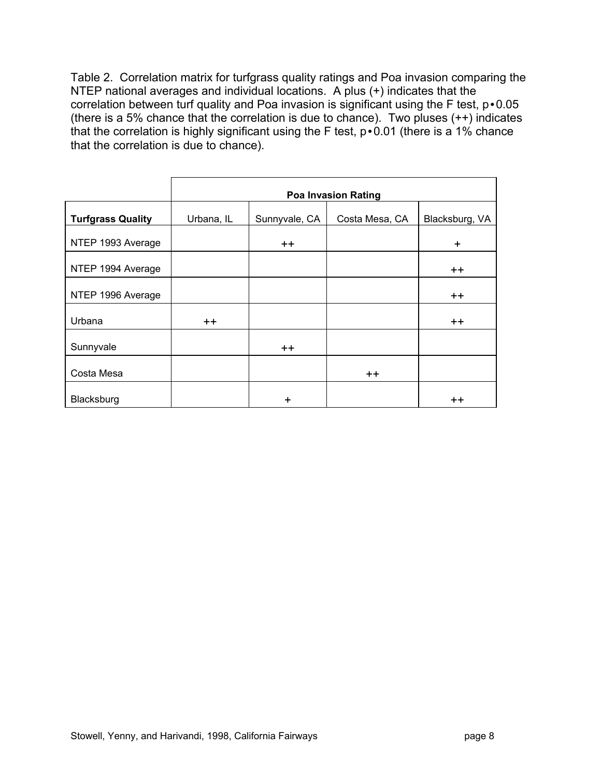Table 2. Correlation matrix for turfgrass quality ratings and Poa invasion comparing the NTEP national averages and individual locations. A plus (+) indicates that the correlation between turf quality and Poa invasion is significant using the F test, p•0.05 (there is a 5% chance that the correlation is due to chance). Two pluses (++) indicates that the correlation is highly significant using the F test, p•0.01 (there is a 1% chance that the correlation is due to chance).

|                          | <b>Poa Invasion Rating</b> |               |                |                 |  |  |  |
|--------------------------|----------------------------|---------------|----------------|-----------------|--|--|--|
| <b>Turfgrass Quality</b> | Urbana, IL                 | Sunnyvale, CA | Costa Mesa, CA | Blacksburg, VA  |  |  |  |
| NTEP 1993 Average        |                            | $++$          |                | $\ddot{}$       |  |  |  |
| NTEP 1994 Average        |                            |               |                | $++$            |  |  |  |
| NTEP 1996 Average        |                            |               |                | $++$            |  |  |  |
| Urbana                   | $+ +$                      |               |                | $++$            |  |  |  |
|                          |                            |               |                |                 |  |  |  |
| Sunnyvale                |                            | $++$          |                |                 |  |  |  |
| Costa Mesa               |                            |               | $++$           |                 |  |  |  |
| Blacksburg               |                            | $\ddot{}$     |                | $^{\mathrm{+}}$ |  |  |  |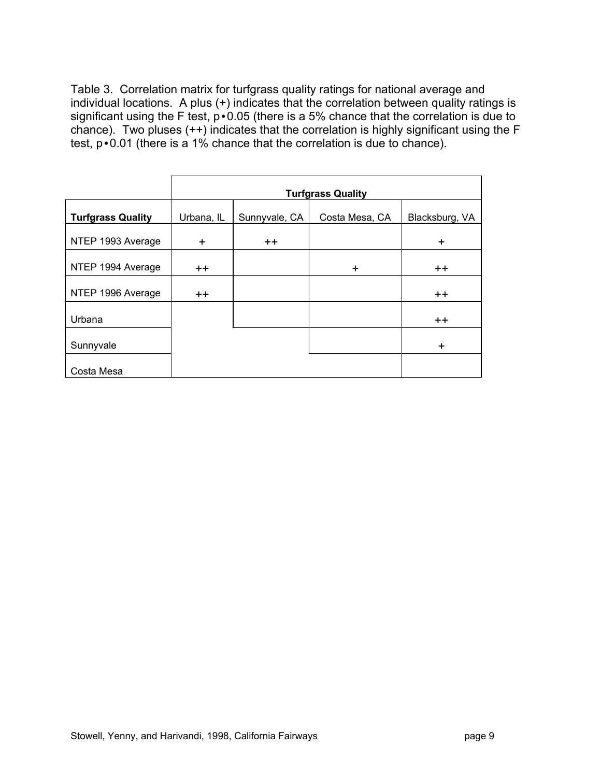Table 3. Correlation matrix for turfgrass quality ratings for national average and individual locations. A plus (+) indicates that the correlation between quality ratings is significant using the F test, p • 0.05 (there is a 5% chance that the correlation is due to chance). Two pluses  $(++)$  indicates that the correlation is highly significant using the F test, p•0.01 (there is a 1% chance that the correlation is due to chance).

| <b>Turfgrass Quality</b> | Urbana, IL | Sunnyvale, CA    | Costa Mesa, CA | Blacksburg, VA |
|--------------------------|------------|------------------|----------------|----------------|
| NTEP 1993 Average        | $\ddot{}$  | $^{\mathrm{++}}$ |                | $\ddot{}$      |
| NTEP 1994 Average        | $+ +$      |                  | $\ddot{}$      | $+ +$          |
| NTEP 1996 Average        | $++$       |                  |                | $+ +$          |
| Urbana                   |            |                  |                | $++$           |
| Sunnyvale                |            |                  |                | ÷              |
| Costa Mesa               |            |                  |                |                |